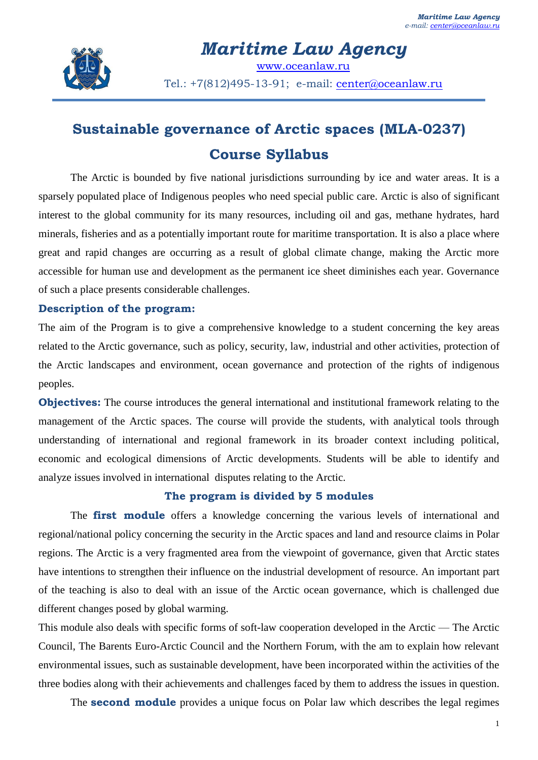

*Maritime Law Agency* [www.oceanlaw.ru](http://www.oceanlaw.ru/) Tel.: +7(812)495-13-91; e-mail: [center@oceanlaw.ru](mailto:center@oceanlaw.ru)

## **Sustainable governance of Arctic spaces (MLA-0237) Course Syllabus**

The Arctic is bounded by five national jurisdictions surrounding by ice and water areas. It is a sparsely populated place of Indigenous peoples who need special public care. Arctic is also of significant interest to the global community for its many resources, including oil and gas, methane hydrates, hard minerals, fisheries and as a potentially important route for maritime transportation. It is also a place where great and rapid changes are occurring as a result of global climate change, making the Arctic more accessible for human use and development as the permanent ice sheet diminishes each year. Governance of such a place presents considerable challenges.

## **Description of the program:**

The aim of the Program is to give a comprehensive knowledge to a student concerning the key areas related to the Arctic governance, such as policy, security, law, industrial and other activities, protection of the Arctic landscapes and environment, ocean governance and protection of the rights of indigenous peoples.

**Objectives:** The course introduces the general international and institutional framework relating to the management of the Arctic spaces. The course will provide the students, with analytical tools through understanding of international and regional framework in its broader context including political, economic and ecological dimensions of Arctic developments. Students will be able to identify and analyze issues involved in international disputes relating to the Arctic.

## **The program is divided by 5 modules**

The **first module** offers a knowledge concerning the various levels of international and regional/national policy concerning the security in the Arctic spaces and land and resource claims in Polar regions. The Arctic is a very fragmented area from the viewpoint of governance, given that Arctic states have intentions to strengthen their influence on the industrial development of resource. An important part of the teaching is also to deal with an issue of the Arctic ocean governance, which is challenged due different changes posed by global warming.

This module also deals with specific forms of soft-law cooperation developed in the Arctic — The Arctic Council, The Barents Euro-Arctic Council and the Northern Forum, with the am to explain how relevant environmental issues, such as sustainable development, have been incorporated within the activities of the three bodies along with their achievements and challenges faced by them to address the issues in question.

The **second module** provides a unique focus on Polar law which describes the legal regimes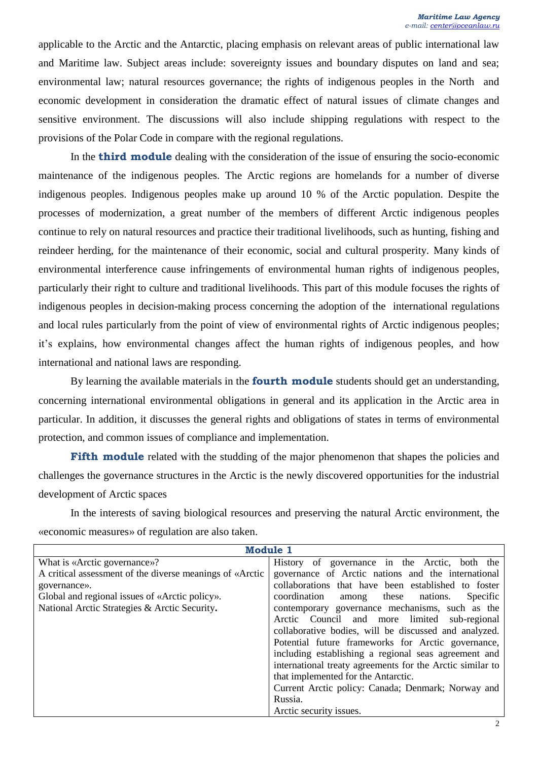applicable to the Arctic and the Antarctic, placing emphasis on relevant areas of public international law and Maritime law. Subject areas include: sovereignty issues and boundary disputes on land and sea; environmental law; natural resources governance; the rights of indigenous peoples in the North and economic development in consideration the dramatic effect of natural issues of climate changes and sensitive environment. The discussions will also include shipping regulations with respect to the provisions of the Polar Code in compare with the regional regulations.

In the **third module** dealing with the consideration of the issue of ensuring the socio-economic maintenance of the indigenous peoples. The Arctic regions are homelands for a number of diverse indigenous peoples. Indigenous peoples make up around 10 % of the Arctic population. Despite the processes of modernization, a great number of the members of different Arctic indigenous peoples continue to rely on natural resources and practice their traditional livelihoods, such as hunting, fishing and reindeer herding, for the maintenance of their economic, social and cultural prosperity. Many kinds of environmental interference cause infringements of environmental human rights of indigenous peoples, particularly their right to culture and traditional livelihoods. This part of this module focuses the rights of indigenous peoples in decision-making process concerning the adoption of the international regulations and local rules particularly from the point of view of environmental rights of Arctic indigenous peoples; it's explains, how environmental changes affect the human rights of indigenous peoples, and how international and national laws are responding.

By learning the available materials in the **fourth module** students should get an understanding, concerning international environmental obligations in general and its application in the Arctic area in particular. In addition, it discusses the general rights and obligations of states in terms of environmental protection, and common issues of compliance and implementation.

**Fifth module** related with the studding of the major phenomenon that shapes the policies and challenges the governance structures in the Arctic is the newly discovered opportunities for the industrial development of Arctic spaces

In the interests of saving biological resources and preserving the natural Arctic environment, the «economic measures» of regulation are also taken.

| <b>Module 1</b>                                          |                                                           |
|----------------------------------------------------------|-----------------------------------------------------------|
| What is «Arctic governance»?                             | History of governance in the Arctic, both the             |
| A critical assessment of the diverse meanings of «Arctic | governance of Arctic nations and the international        |
| governance».                                             | collaborations that have been established to foster       |
| Global and regional issues of «Arctic policy».           | coordination<br>Specific<br>among these nations.          |
| National Arctic Strategies & Arctic Security.            | contemporary governance mechanisms, such as the           |
|                                                          | Arctic Council and more limited sub-regional              |
|                                                          | collaborative bodies, will be discussed and analyzed.     |
|                                                          | Potential future frameworks for Arctic governance,        |
|                                                          | including establishing a regional seas agreement and      |
|                                                          | international treaty agreements for the Arctic similar to |
|                                                          | that implemented for the Antarctic.                       |
|                                                          | Current Arctic policy: Canada; Denmark; Norway and        |
|                                                          | Russia.                                                   |
|                                                          | Arctic security issues.                                   |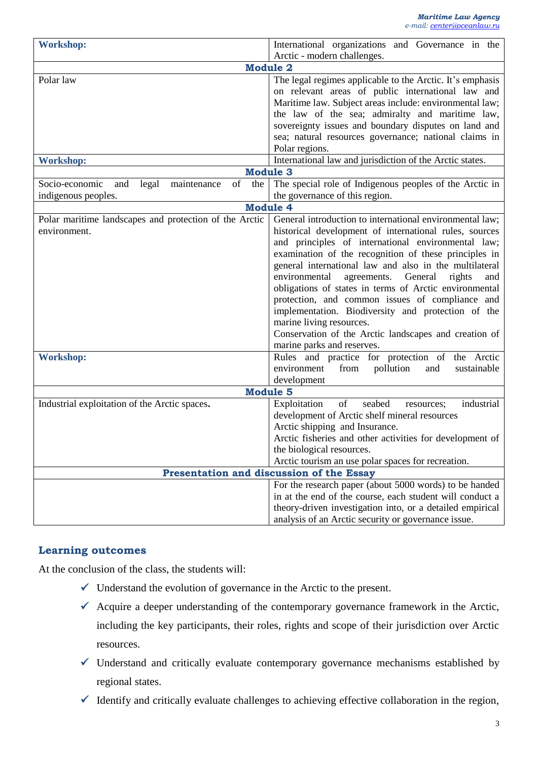| <b>Workshop:</b>                                                                                                             | International organizations and Governance in the         |
|------------------------------------------------------------------------------------------------------------------------------|-----------------------------------------------------------|
| Arctic - modern challenges.<br><b>Module 2</b>                                                                               |                                                           |
| Polar law                                                                                                                    | The legal regimes applicable to the Arctic. It's emphasis |
|                                                                                                                              | on relevant areas of public international law and         |
|                                                                                                                              | Maritime law. Subject areas include: environmental law;   |
|                                                                                                                              | the law of the sea; admiralty and maritime law,           |
|                                                                                                                              | sovereignty issues and boundary disputes on land and      |
|                                                                                                                              | sea; natural resources governance; national claims in     |
|                                                                                                                              | Polar regions.                                            |
| <b>Workshop:</b>                                                                                                             | International law and jurisdiction of the Arctic states.  |
| <b>Module 3</b>                                                                                                              |                                                           |
| of<br>the<br>Socio-economic<br>and<br>legal<br>maintenance                                                                   | The special role of Indigenous peoples of the Arctic in   |
| indigenous peoples.                                                                                                          | the governance of this region.                            |
| <b>Module 4</b>                                                                                                              |                                                           |
| Polar maritime landscapes and protection of the Arctic                                                                       | General introduction to international environmental law;  |
| environment.                                                                                                                 | historical development of international rules, sources    |
|                                                                                                                              | and principles of international environmental law;        |
|                                                                                                                              | examination of the recognition of these principles in     |
|                                                                                                                              | general international law and also in the multilateral    |
|                                                                                                                              | General<br>environmental<br>agreements.<br>rights<br>and  |
|                                                                                                                              | obligations of states in terms of Arctic environmental    |
|                                                                                                                              | protection, and common issues of compliance and           |
|                                                                                                                              | implementation. Biodiversity and protection of the        |
|                                                                                                                              | marine living resources.                                  |
|                                                                                                                              | Conservation of the Arctic landscapes and creation of     |
|                                                                                                                              | marine parks and reserves.                                |
| <b>Workshop:</b>                                                                                                             | Rules and practice for protection of the Arctic           |
|                                                                                                                              | pollution<br>environment<br>from<br>and<br>sustainable    |
|                                                                                                                              | development                                               |
| <b>Module 5</b><br>Industrial exploitation of the Arctic spaces.<br>of<br>seabed<br>industrial<br>Exploitation<br>resources; |                                                           |
|                                                                                                                              | development of Arctic shelf mineral resources             |
|                                                                                                                              | Arctic shipping and Insurance.                            |
|                                                                                                                              | Arctic fisheries and other activities for development of  |
|                                                                                                                              | the biological resources.                                 |
|                                                                                                                              | Arctic tourism an use polar spaces for recreation.        |
| Presentation and discussion of the Essay                                                                                     |                                                           |
|                                                                                                                              | For the research paper (about 5000 words) to be handed    |
|                                                                                                                              | in at the end of the course, each student will conduct a  |
|                                                                                                                              | theory-driven investigation into, or a detailed empirical |
|                                                                                                                              | analysis of an Arctic security or governance issue.       |

## **Learning outcomes**

At the conclusion of the class, the students will:

- $\checkmark$  Understand the evolution of governance in the Arctic to the present.
- $\checkmark$  Acquire a deeper understanding of the contemporary governance framework in the Arctic, including the key participants, their roles, rights and scope of their jurisdiction over Arctic resources.
- $\checkmark$  Understand and critically evaluate contemporary governance mechanisms established by regional states.
- $\checkmark$  Identify and critically evaluate challenges to achieving effective collaboration in the region,